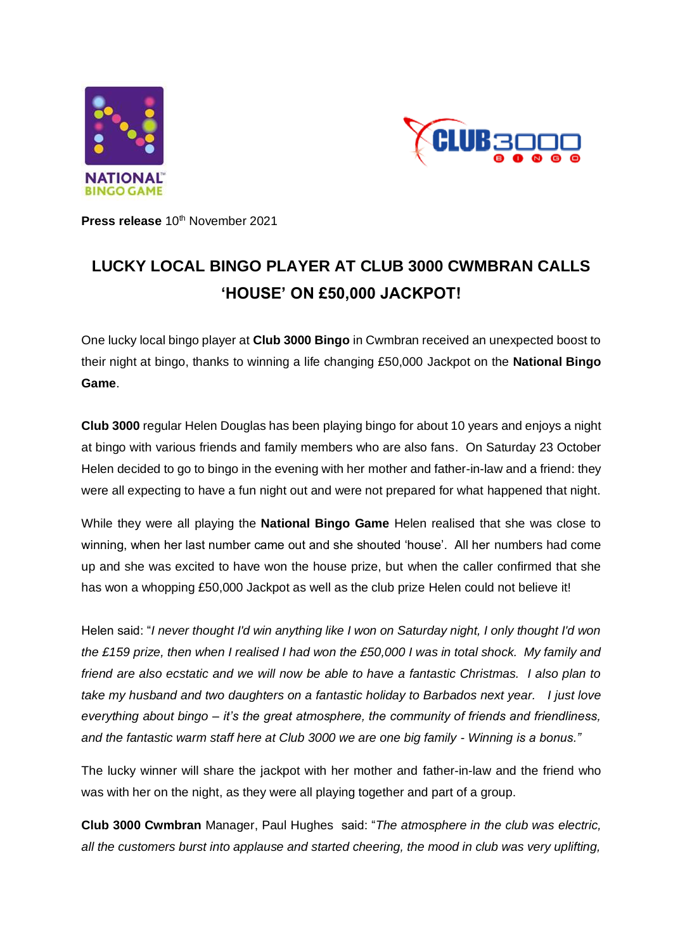



**Press release** 10<sup>th</sup> November 2021

# **LUCKY LOCAL BINGO PLAYER AT CLUB 3000 CWMBRAN CALLS 'HOUSE' ON £50,000 JACKPOT!**

One lucky local bingo player at **Club 3000 Bingo** in Cwmbran received an unexpected boost to their night at bingo, thanks to winning a life changing £50,000 Jackpot on the **National Bingo Game**.

**Club 3000** regular Helen Douglas has been playing bingo for about 10 years and enjoys a night at bingo with various friends and family members who are also fans. On Saturday 23 October Helen decided to go to bingo in the evening with her mother and father-in-law and a friend: they were all expecting to have a fun night out and were not prepared for what happened that night.

While they were all playing the **National Bingo Game** Helen realised that she was close to winning, when her last number came out and she shouted 'house'. All her numbers had come up and she was excited to have won the house prize, but when the caller confirmed that she has won a whopping £50,000 Jackpot as well as the club prize Helen could not believe it!

Helen said: "*I never thought I'd win anything like I won on Saturday night, I only thought I'd won the £159 prize, then when I realised I had won the £50,000 I was in total shock. My family and friend are also ecstatic and we will now be able to have a fantastic Christmas. I also plan to take my husband and two daughters on a fantastic holiday to Barbados next year. I just love everything about bingo – it's the great atmosphere, the community of friends and friendliness, and the fantastic warm staff here at Club 3000 we are one big family - Winning is a bonus."*

The lucky winner will share the jackpot with her mother and father-in-law and the friend who was with her on the night, as they were all playing together and part of a group.

**Club 3000 Cwmbran** Manager, Paul Hughes said: "*The atmosphere in the club was electric, all the customers burst into applause and started cheering, the mood in club was very uplifting,*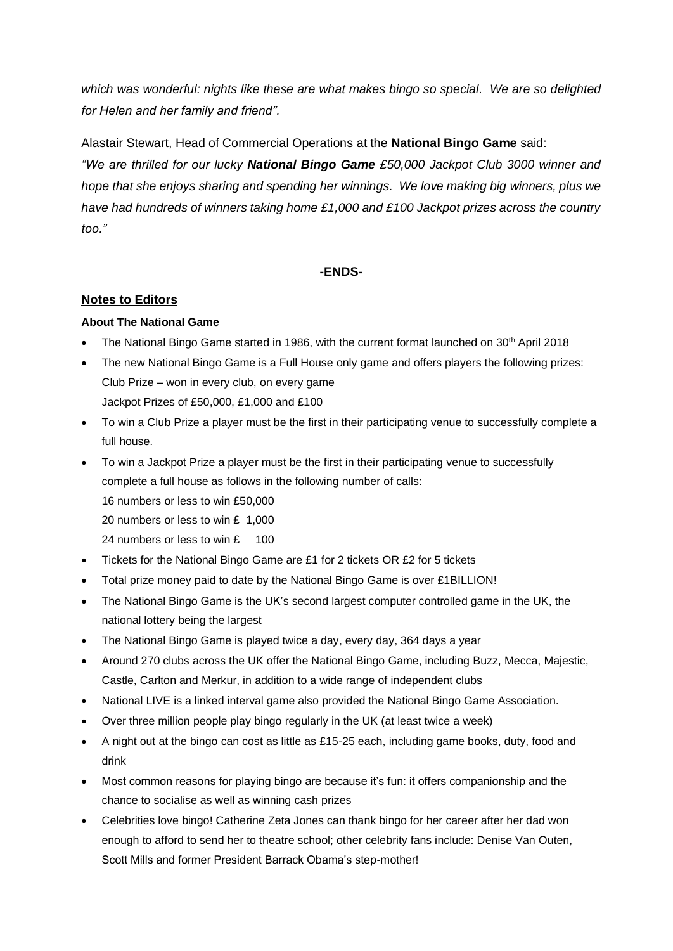*which was wonderful: nights like these are what makes bingo so special. We are so delighted for Helen and her family and friend".*

Alastair Stewart, Head of Commercial Operations at the **National Bingo Game** said:

*"We are thrilled for our lucky National Bingo Game £50,000 Jackpot Club 3000 winner and hope that she enjoys sharing and spending her winnings. We love making big winners, plus we have had hundreds of winners taking home £1,000 and £100 Jackpot prizes across the country too."*

## **-ENDS-**

## **Notes to Editors**

## **About The National Game**

- The National Bingo Game started in 1986, with the current format launched on  $30<sup>th</sup>$  April 2018
- The new National Bingo Game is a Full House only game and offers players the following prizes: Club Prize – won in every club, on every game Jackpot Prizes of £50,000, £1,000 and £100
- To win a Club Prize a player must be the first in their participating venue to successfully complete a full house.
- To win a Jackpot Prize a player must be the first in their participating venue to successfully complete a full house as follows in the following number of calls:

16 numbers or less to win £50,000

20 numbers or less to win £ 1,000

- 24 numbers or less to win £ 100
- Tickets for the National Bingo Game are £1 for 2 tickets OR £2 for 5 tickets
- Total prize money paid to date by the National Bingo Game is over £1BILLION!
- The National Bingo Game is the UK's second largest computer controlled game in the UK, the national lottery being the largest
- The National Bingo Game is played twice a day, every day, 364 days a year
- Around 270 clubs across the UK offer the National Bingo Game, including Buzz, Mecca, Majestic, Castle, Carlton and Merkur, in addition to a wide range of independent clubs
- National LIVE is a linked interval game also provided the National Bingo Game Association.
- Over three million people play bingo regularly in the UK (at least twice a week)
- A night out at the bingo can cost as little as £15-25 each, including game books, duty, food and drink
- Most common reasons for playing bingo are because it's fun: it offers companionship and the chance to socialise as well as winning cash prizes
- Celebrities love bingo! Catherine Zeta Jones can thank bingo for her career after her dad won enough to afford to send her to theatre school; other celebrity fans include: Denise Van Outen, Scott Mills and former President Barrack Obama's step-mother!